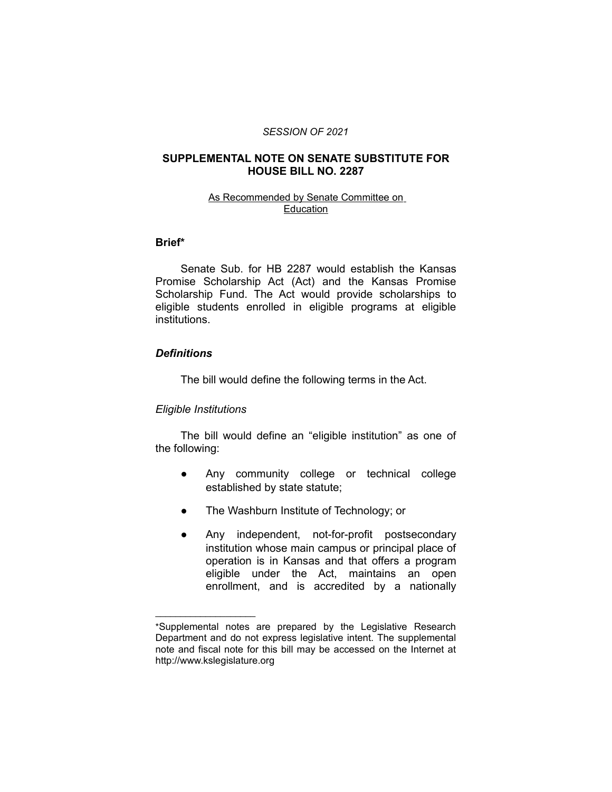#### *SESSION OF 2021*

## **SUPPLEMENTAL NOTE ON SENATE SUBSTITUTE FOR HOUSE BILL NO. 2287**

### As Recommended by Senate Committee on Education

## **Brief\***

Senate Sub. for HB 2287 would establish the Kansas Promise Scholarship Act (Act) and the Kansas Promise Scholarship Fund. The Act would provide scholarships to eligible students enrolled in eligible programs at eligible institutions.

## *Definitions*

The bill would define the following terms in the Act.

## *Eligible Institutions*

 $\overline{\phantom{a}}$  , where  $\overline{\phantom{a}}$ 

The bill would define an "eligible institution" as one of the following:

- Any community college or technical college established by state statute;
- The Washburn Institute of Technology; or
- Any independent, not-for-profit postsecondary institution whose main campus or principal place of operation is in Kansas and that offers a program eligible under the Act, maintains an open enrollment, and is accredited by a nationally

<sup>\*</sup>Supplemental notes are prepared by the Legislative Research Department and do not express legislative intent. The supplemental note and fiscal note for this bill may be accessed on the Internet at http://www.kslegislature.org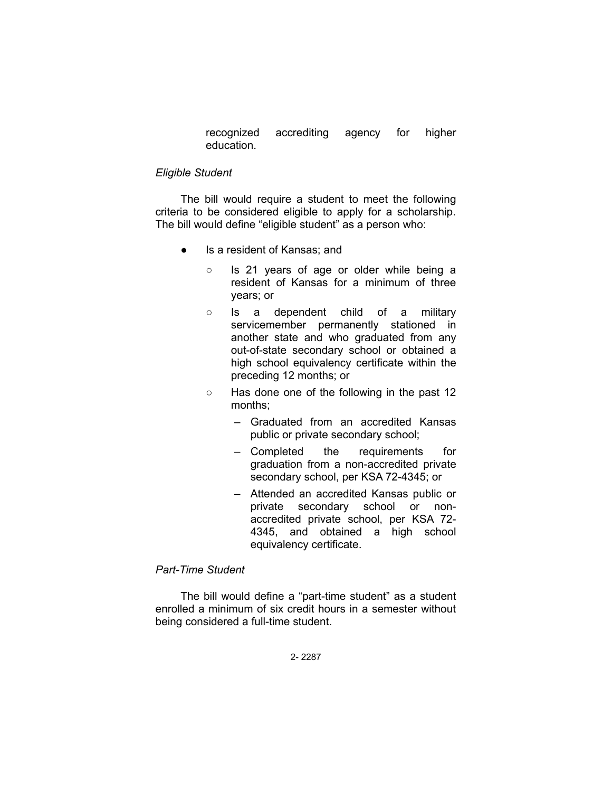recognized accrediting agency for higher education.

#### *Eligible Student*

The bill would require a student to meet the following criteria to be considered eligible to apply for a scholarship. The bill would define "eligible student" as a person who:

- Is a resident of Kansas; and
	- Is 21 years of age or older while being a resident of Kansas for a minimum of three years; or
	- Is a dependent child of a military servicemember permanently stationed in another state and who graduated from any out-of-state secondary school or obtained a high school equivalency certificate within the preceding 12 months; or
	- Has done one of the following in the past 12 months;
		- Graduated from an accredited Kansas public or private secondary school;
		- Completed the requirements for graduation from a non-accredited private secondary school, per KSA 72-4345; or
		- Attended an accredited Kansas public or private secondary school or nonaccredited private school, per KSA 72- 4345, and obtained a high school equivalency certificate.

## *Part-Time Student*

The bill would define a "part-time student" as a student enrolled a minimum of six credit hours in a semester without being considered a full-time student.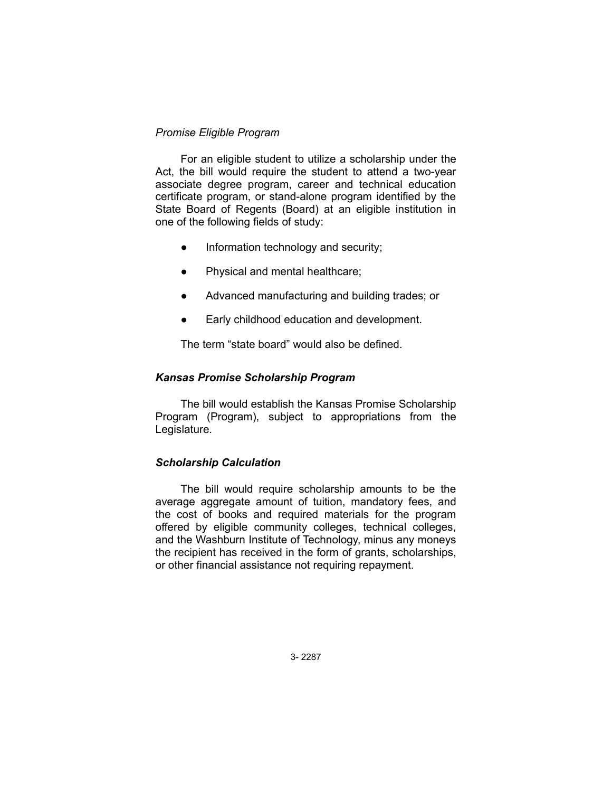## *Promise Eligible Program*

For an eligible student to utilize a scholarship under the Act, the bill would require the student to attend a two-year associate degree program, career and technical education certificate program, or stand-alone program identified by the State Board of Regents (Board) at an eligible institution in one of the following fields of study:

- Information technology and security;
- Physical and mental healthcare;
- Advanced manufacturing and building trades; or
- Early childhood education and development.

The term "state board" would also be defined.

### *Kansas Promise Scholarship Program*

The bill would establish the Kansas Promise Scholarship Program (Program), subject to appropriations from the Legislature.

## *Scholarship Calculation*

The bill would require scholarship amounts to be the average aggregate amount of tuition, mandatory fees, and the cost of books and required materials for the program offered by eligible community colleges, technical colleges, and the Washburn Institute of Technology, minus any moneys the recipient has received in the form of grants, scholarships, or other financial assistance not requiring repayment.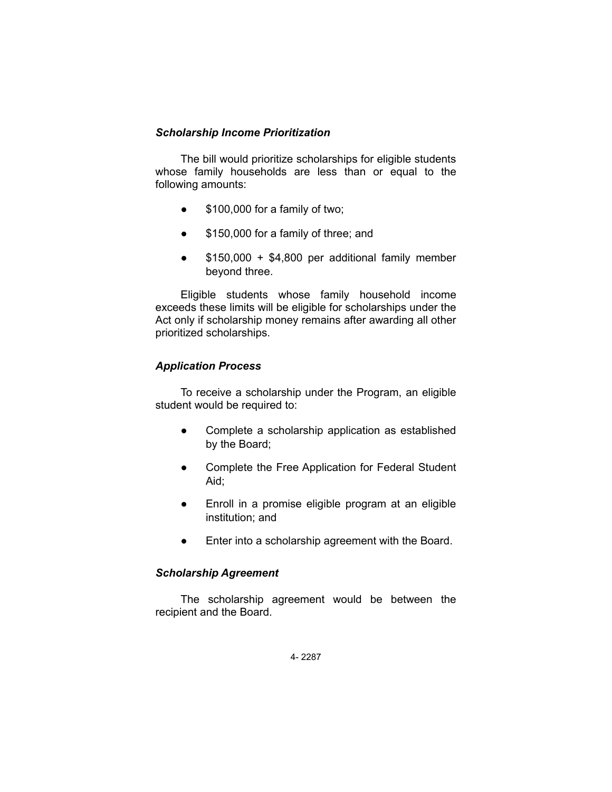## *Scholarship Income Prioritization*

The bill would prioritize scholarships for eligible students whose family households are less than or equal to the following amounts:

- \$100,000 for a family of two;
- \$150,000 for a family of three; and
- \$150,000 + \$4,800 per additional family member beyond three.

Eligible students whose family household income exceeds these limits will be eligible for scholarships under the Act only if scholarship money remains after awarding all other prioritized scholarships.

# *Application Process*

To receive a scholarship under the Program, an eligible student would be required to:

- Complete a scholarship application as established by the Board;
- Complete the Free Application for Federal Student Aid;
- Enroll in a promise eligible program at an eligible institution; and
- Enter into a scholarship agreement with the Board.

# *Scholarship Agreement*

The scholarship agreement would be between the recipient and the Board.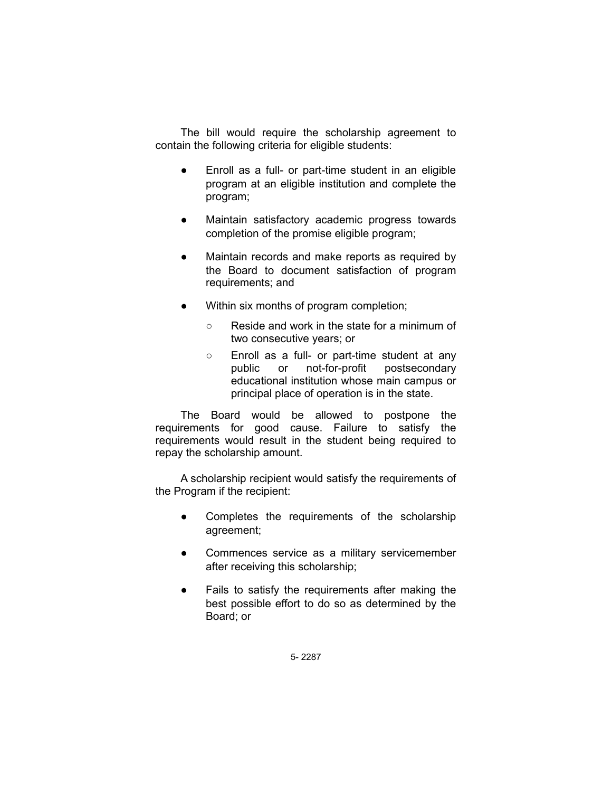The bill would require the scholarship agreement to contain the following criteria for eligible students:

- Enroll as a full- or part-time student in an eligible program at an eligible institution and complete the program;
- Maintain satisfactory academic progress towards completion of the promise eligible program;
- Maintain records and make reports as required by the Board to document satisfaction of program requirements; and
- Within six months of program completion;
	- Reside and work in the state for a minimum of two consecutive years; or
	- Enroll as a full- or part-time student at any public or not-for-profit postsecondary educational institution whose main campus or principal place of operation is in the state.

The Board would be allowed to postpone the requirements for good cause. Failure to satisfy the requirements would result in the student being required to repay the scholarship amount.

A scholarship recipient would satisfy the requirements of the Program if the recipient:

- Completes the requirements of the scholarship agreement;
- Commences service as a military servicemember after receiving this scholarship;
- Fails to satisfy the requirements after making the best possible effort to do so as determined by the Board; or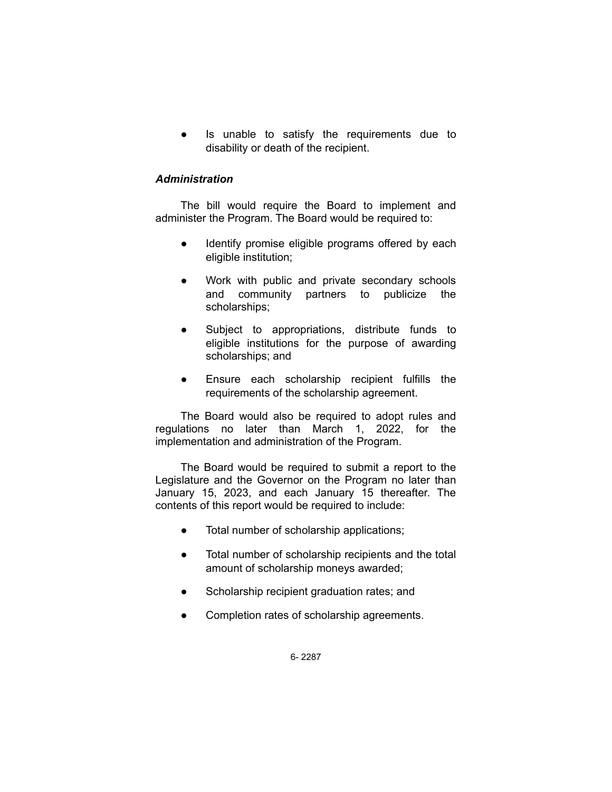Is unable to satisfy the requirements due to disability or death of the recipient.

## *Administration*

The bill would require the Board to implement and administer the Program. The Board would be required to:

- Identify promise eligible programs offered by each eligible institution;
- Work with public and private secondary schools and community partners to publicize the scholarships;
- Subject to appropriations, distribute funds to eligible institutions for the purpose of awarding scholarships; and
- Ensure each scholarship recipient fulfills the requirements of the scholarship agreement.

The Board would also be required to adopt rules and regulations no later than March 1, 2022, for the implementation and administration of the Program.

The Board would be required to submit a report to the Legislature and the Governor on the Program no later than January 15, 2023, and each January 15 thereafter. The contents of this report would be required to include:

- Total number of scholarship applications;
- Total number of scholarship recipients and the total amount of scholarship moneys awarded;
- Scholarship recipient graduation rates; and
- Completion rates of scholarship agreements.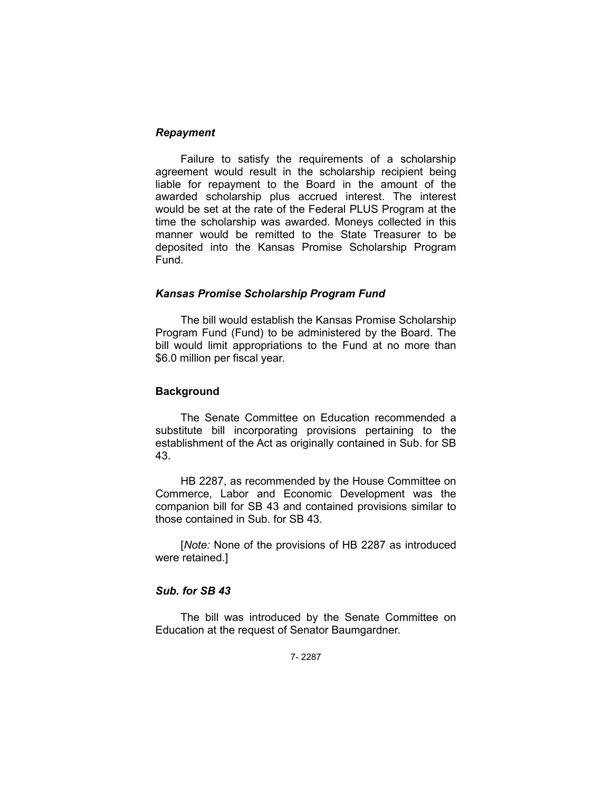## *Repayment*

Failure to satisfy the requirements of a scholarship agreement would result in the scholarship recipient being liable for repayment to the Board in the amount of the awarded scholarship plus accrued interest. The interest would be set at the rate of the Federal PLUS Program at the time the scholarship was awarded. Moneys collected in this manner would be remitted to the State Treasurer to be deposited into the Kansas Promise Scholarship Program Fund.

### *Kansas Promise Scholarship Program Fund*

The bill would establish the Kansas Promise Scholarship Program Fund (Fund) to be administered by the Board. The bill would limit appropriations to the Fund at no more than \$6.0 million per fiscal year.

### **Background**

The Senate Committee on Education recommended a substitute bill incorporating provisions pertaining to the establishment of the Act as originally contained in Sub. for SB 43.

HB 2287, as recommended by the House Committee on Commerce, Labor and Economic Development was the companion bill for SB 43 and contained provisions similar to those contained in Sub. for SB 43.

[*Note:* None of the provisions of HB 2287 as introduced were retained.]

### *Sub. for SB 43*

The bill was introduced by the Senate Committee on Education at the request of Senator Baumgardner.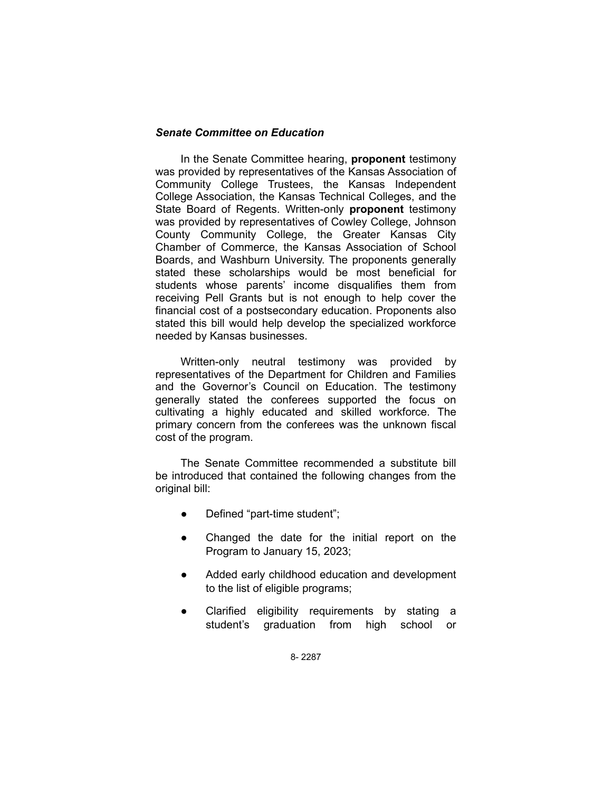## *Senate Committee on Education*

In the Senate Committee hearing, **proponent** testimony was provided by representatives of the Kansas Association of Community College Trustees, the Kansas Independent College Association, the Kansas Technical Colleges, and the State Board of Regents. Written-only **proponent** testimony was provided by representatives of Cowley College, Johnson County Community College, the Greater Kansas City Chamber of Commerce, the Kansas Association of School Boards, and Washburn University. The proponents generally stated these scholarships would be most beneficial for students whose parents' income disqualifies them from receiving Pell Grants but is not enough to help cover the financial cost of a postsecondary education. Proponents also stated this bill would help develop the specialized workforce needed by Kansas businesses.

Written-only neutral testimony was provided by representatives of the Department for Children and Families and the Governor's Council on Education. The testimony generally stated the conferees supported the focus on cultivating a highly educated and skilled workforce. The primary concern from the conferees was the unknown fiscal cost of the program.

The Senate Committee recommended a substitute bill be introduced that contained the following changes from the original bill:

- Defined "part-time student";
- Changed the date for the initial report on the Program to January 15, 2023;
- Added early childhood education and development to the list of eligible programs;
- Clarified eligibility requirements by stating a student's graduation from high school or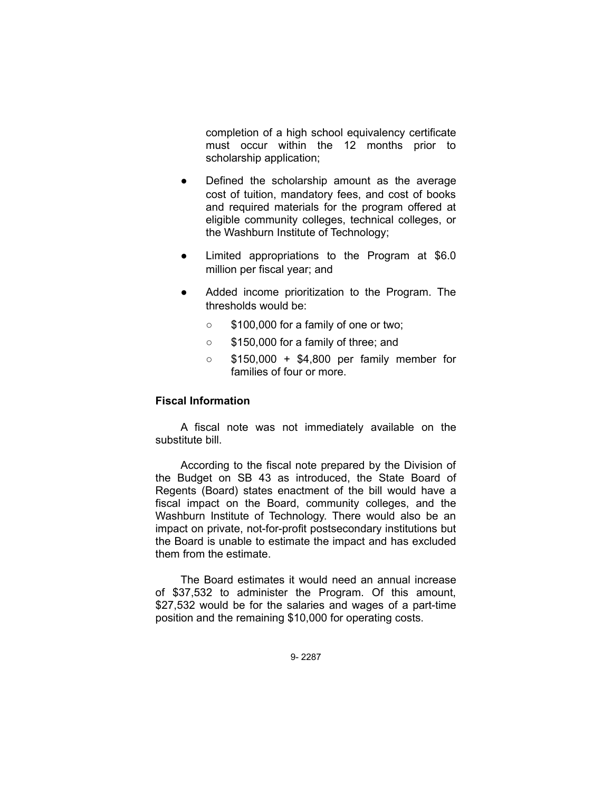completion of a high school equivalency certificate must occur within the 12 months prior to scholarship application;

- Defined the scholarship amount as the average cost of tuition, mandatory fees, and cost of books and required materials for the program offered at eligible community colleges, technical colleges, or the Washburn Institute of Technology;
- Limited appropriations to the Program at \$6.0 million per fiscal year; and
- Added income prioritization to the Program. The thresholds would be:
	- \$100,000 for a family of one or two;
	- \$150,000 for a family of three; and
	- \$150,000 + \$4,800 per family member for families of four or more.

## **Fiscal Information**

A fiscal note was not immediately available on the substitute bill.

According to the fiscal note prepared by the Division of the Budget on SB 43 as introduced, the State Board of Regents (Board) states enactment of the bill would have a fiscal impact on the Board, community colleges, and the Washburn Institute of Technology. There would also be an impact on private, not-for-profit postsecondary institutions but the Board is unable to estimate the impact and has excluded them from the estimate.

The Board estimates it would need an annual increase of \$37,532 to administer the Program. Of this amount, \$27,532 would be for the salaries and wages of a part-time position and the remaining \$10,000 for operating costs.